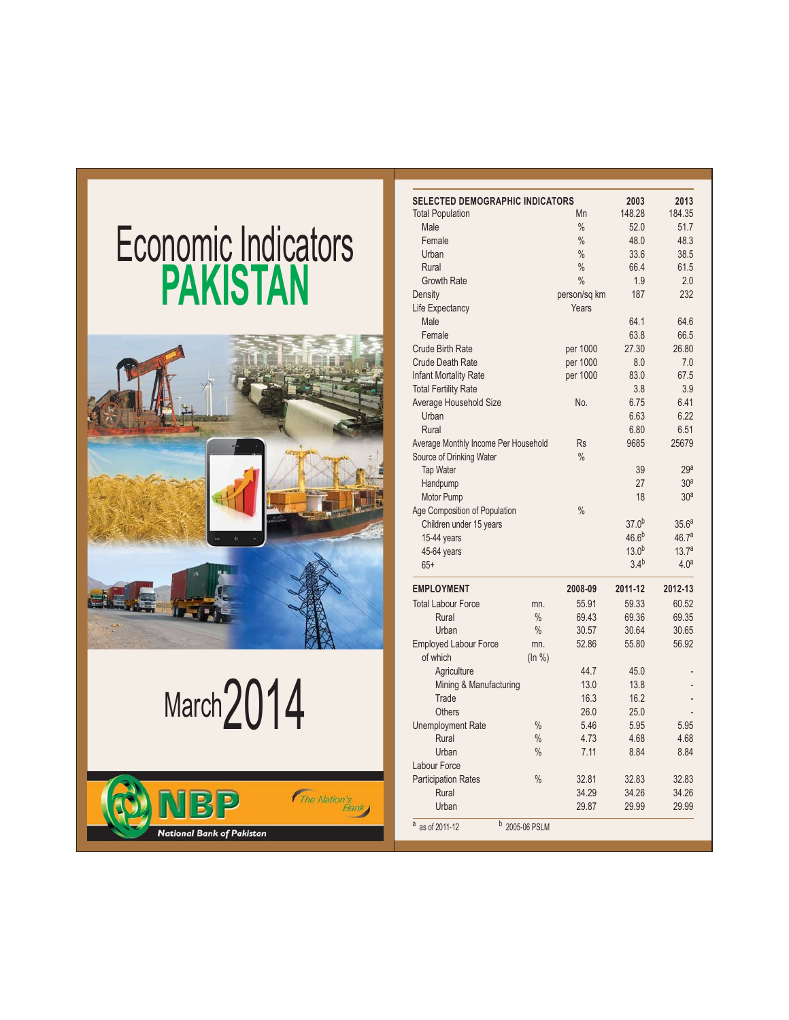# **PAKISTAN Economic Indicators**



March $2014$ 

- $\cdot$  as of 2011-

The Nation's

12 <sup>D</sup> 2005-06 PSLM



**National Bank of Pakistan**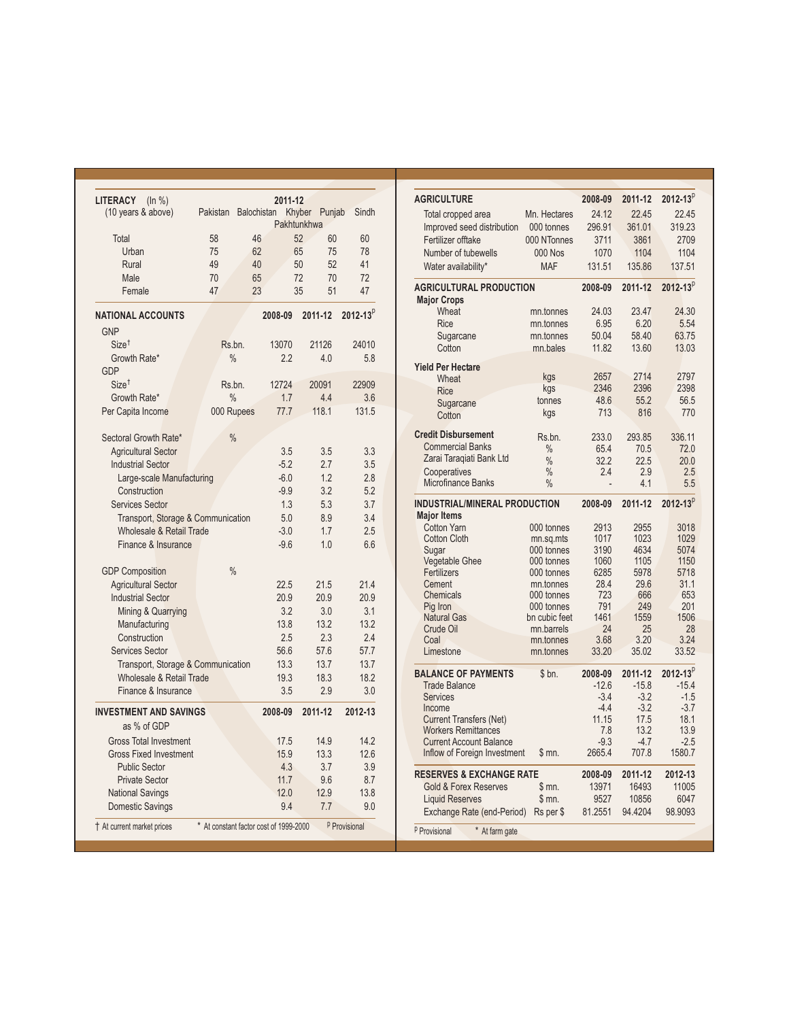| <b>LITERACY</b><br>(ln %)<br>(10 years & above) | Pakistan                               | <b>Balochistan</b> | 2011-12 | Khyber Punjab | Sindh                    |
|-------------------------------------------------|----------------------------------------|--------------------|---------|---------------|--------------------------|
|                                                 |                                        |                    |         | Pakhtunkhwa   |                          |
| Total                                           | 58                                     | 46                 |         | 52<br>60      | 60                       |
| Urban                                           | 75                                     | 62                 |         | 65<br>75      | 78                       |
| Rural                                           | 49                                     | 40                 |         | 50<br>52      | 41                       |
| Male                                            | 70                                     | 65                 |         | 72<br>70      | 72                       |
| Female                                          | 47                                     | 23                 |         | 35<br>51      | 47                       |
| <b>NATIONAL ACCOUNTS</b>                        |                                        |                    | 2008-09 | 2011-12       | $2012 - 13^{p}$          |
| GNP                                             |                                        |                    |         |               |                          |
| Size <sup>†</sup>                               |                                        | Rs.bn.             | 13070   | 21126         | 24010                    |
| Growth Rate*                                    |                                        | $\frac{0}{0}$      | 2.2     | 4.0           | 5.8                      |
| GDP                                             |                                        |                    |         |               |                          |
| $Size^{\dagger}$                                |                                        | $Rs$ bn.           | 12724   | 20091         | 22909                    |
| Growth Rate*                                    |                                        | $\frac{0}{0}$      | 1.7     | 4.4           | 3.6                      |
| Per Capita Income                               |                                        | 000 Rupees         | 77.7    | 118.1         | 131.5                    |
| Sectoral Growth Rate*                           |                                        | $\frac{0}{0}$      |         |               |                          |
| <b>Agricultural Sector</b>                      |                                        |                    | 3.5     | 3.5           | 3.3                      |
| <b>Industrial Sector</b>                        |                                        |                    | $-5.2$  | 2.7           | 3.5                      |
| Large-scale Manufacturing                       |                                        |                    | $-6.0$  | 1.2           | 2.8                      |
| Construction                                    |                                        |                    | $-9.9$  | 3.2           | 5.2                      |
| <b>Services Sector</b>                          |                                        |                    | 1.3     | 5.3           | 3.7                      |
| Transport, Storage & Communication              |                                        |                    | 5.0     | 8.9           | 3.4                      |
| Wholesale & Retail Trade                        |                                        |                    | $-3.0$  | 1.7           | 2.5                      |
| Finance & Insurance                             |                                        |                    | $-9.6$  | 1.0           | 6.6                      |
| <b>GDP Composition</b>                          |                                        | $\frac{0}{0}$      |         |               |                          |
| <b>Agricultural Sector</b>                      |                                        |                    | 22.5    | 21.5          | 21.4                     |
| <b>Industrial Sector</b>                        |                                        |                    | 20.9    | 20.9          | 20.9                     |
| Mining & Quarrying                              |                                        |                    | 3.2     | 3.0           | 3.1                      |
| Manufacturing                                   |                                        |                    | 13.8    | 13.2          | 13.2                     |
| Construction                                    |                                        |                    | 2.5     | 2.3           | 2.4                      |
| <b>Services Sector</b>                          |                                        |                    | 56.6    | 57.6          | 57.7                     |
| Transport, Storage & Communication              |                                        |                    | 13.3    | 13.7          | 13.7                     |
| Wholesale & Retail Trade                        |                                        |                    | 19.3    | 18.3          | 18.2                     |
| Finance & Insurance                             |                                        |                    | 3.5     | 2.9           | 3.0                      |
| <b>INVESTMENT AND SAVINGS</b>                   |                                        |                    | 2008-09 | 2011-12       | 2012-13                  |
| as % of GDP                                     |                                        |                    |         |               |                          |
| <b>Gross Total Investment</b>                   |                                        |                    | 17.5    | 14.9          | 14.2                     |
| <b>Gross Fixed Investment</b>                   |                                        |                    | 15.9    | 13.3          | 12.6                     |
| <b>Public Sector</b>                            |                                        |                    | 4.3     | 3.7           | 3.9                      |
| <b>Private Sector</b>                           |                                        |                    | 11.7    | 9.6           | 8.7                      |
| <b>National Savings</b>                         |                                        |                    | 12.0    | 12.9          | 13.8                     |
| <b>Domestic Savings</b>                         |                                        |                    | 9.4     | 7.7           | 9.0                      |
| † At current market prices                      | * At constant factor cost of 1999-2000 |                    |         |               | <sup>p</sup> Provisional |

| <b>AGRICULTURE</b>                         |                         |              | 2011-12      | $2012 - 13^{p}$ |
|--------------------------------------------|-------------------------|--------------|--------------|-----------------|
|                                            |                         | 2008-09      |              |                 |
| Total cropped area                         | Mn. Hectares            | 24.12        | 22.45        | 22.45           |
| Improved seed distribution                 | 000 tonnes              | 296.91       | 361.01       | 319.23          |
| Fertilizer offtake                         | 000 NTonnes             | 3711         | 3861         | 2709            |
| Number of tubewells                        | <b>000 Nos</b>          | 1070         | 1104         | 1104            |
| Water availability*                        | <b>MAF</b>              | 131.51       | 135.86       | 137.51          |
| <b>AGRICULTURAL PRODUCTION</b>             |                         | 2008-09      | 2011-12      | $2012 - 13^{p}$ |
| <b>Major Crops</b>                         |                         |              |              |                 |
| Wheat                                      | mn.tonnes               | 24.03        | 23.47        | 24.30           |
| <b>Rice</b>                                | mn.tonnes               | 6.95         | 6.20         | 5.54            |
| Sugarcane                                  | mn.tonnes               | 50.04        | 58.40        | 63.75           |
| Cotton                                     | mn.bales                | 11.82        | 13.60        | 13.03           |
| <b>Yield Per Hectare</b>                   |                         |              |              |                 |
| Wheat                                      | kgs                     | 2657         | 2714         | 2797            |
| <b>Rice</b>                                | kgs                     | 2346         | 2396         | 2398            |
| Sugarcane                                  | tonnes                  | 48.6         | 55.2         | 56.5            |
| Cotton                                     | kgs                     | 713          | 816          | 770             |
| <b>Credit Disbursement</b>                 | Rs.bn.                  | 233.0        | 293.85       | 336.11          |
| <b>Commercial Banks</b>                    | $\%$                    | 65.4         | 70.5         | 72.0            |
| Zarai Taragiati Bank Ltd                   | $\frac{0}{0}$           | 32.2         | 22.5         | 20.0            |
| Cooperatives                               | $\frac{0}{0}$           | 2.4          | 2.9          | 2.5             |
| Microfinance Banks                         | $\frac{0}{0}$           |              | 4.1          | 5.5             |
| <b>INDUSTRIAL/MINERAL PRODUCTION</b>       |                         | 2008-09      | 2011-12      | $2012 - 13^{p}$ |
| <b>Major Items</b>                         |                         |              |              |                 |
| <b>Cotton Yarn</b>                         | 000 tonnes              | 2913         | 2955         | 3018            |
| <b>Cotton Cloth</b>                        | mn.sq.mts<br>000 tonnes | 1017<br>3190 | 1023<br>4634 | 1029<br>5074    |
| Sugar<br><b>Vegetable Ghee</b>             | 000 tonnes              | 1060         | 1105         | 1150            |
| Fertilizers                                | 000 tonnes              | 6285         | 5978         | 5718            |
| Cement                                     | mn.tonnes               | 28.4         | 29.6         | 31.1            |
| Chemicals                                  | 000 tonnes              | 723          | 666          | 653             |
| Pig Iron                                   | 000 tonnes              | 791          | 249          | 201             |
| <b>Natural Gas</b>                         | bn cubic feet           | 1461         | 1559         | 1506            |
| Crude Oil                                  | mn.barrels              | 24           | 25           | 28              |
| Coal                                       | mn.tonnes               | 3.68         | 3.20         | 3.24            |
| Limestone                                  | mn.tonnes               | 33.20        | 35.02        | 33.52           |
| <b>BALANCE OF PAYMENTS</b>                 | \$bn.                   | 2008-09      | 2011-12      | $2012 - 13^{p}$ |
| <b>Trade Balance</b>                       |                         | $-12.6$      | $-15.8$      | $-15.4$         |
| <b>Services</b>                            |                         | $-3.4$       | $-3.2$       | $-1.5$          |
| Income                                     |                         | $-4.4$       | $-3.2$       | $-3.7$          |
| <b>Current Transfers (Net)</b>             |                         | 11.15        | 17.5         | 18.1            |
| <b>Workers Remittances</b>                 |                         | 7.8          | 13.2         | 13.9            |
| <b>Current Account Balance</b>             |                         | $-9.3$       | $-4.7$       | $-2.5$          |
| Inflow of Foreign Investment               | \$m.                    | 2665.4       | 707.8        | 1580.7          |
| <b>RESERVES &amp; EXCHANGE RATE</b>        |                         | 2008-09      | 2011-12      | 2012-13         |
| <b>Gold &amp; Forex Reserves</b>           | \$mn.                   | 13971        | 16493        | 11005           |
| <b>Liquid Reserves</b>                     | $$m0$ .                 | 9527         | 10856        | 6047            |
| Exchange Rate (end-Period)                 | Rs per \$               | 81.2551      | 94.4204      | 98.9093         |
| * At farm gate<br><sup>p</sup> Provisional |                         |              |              |                 |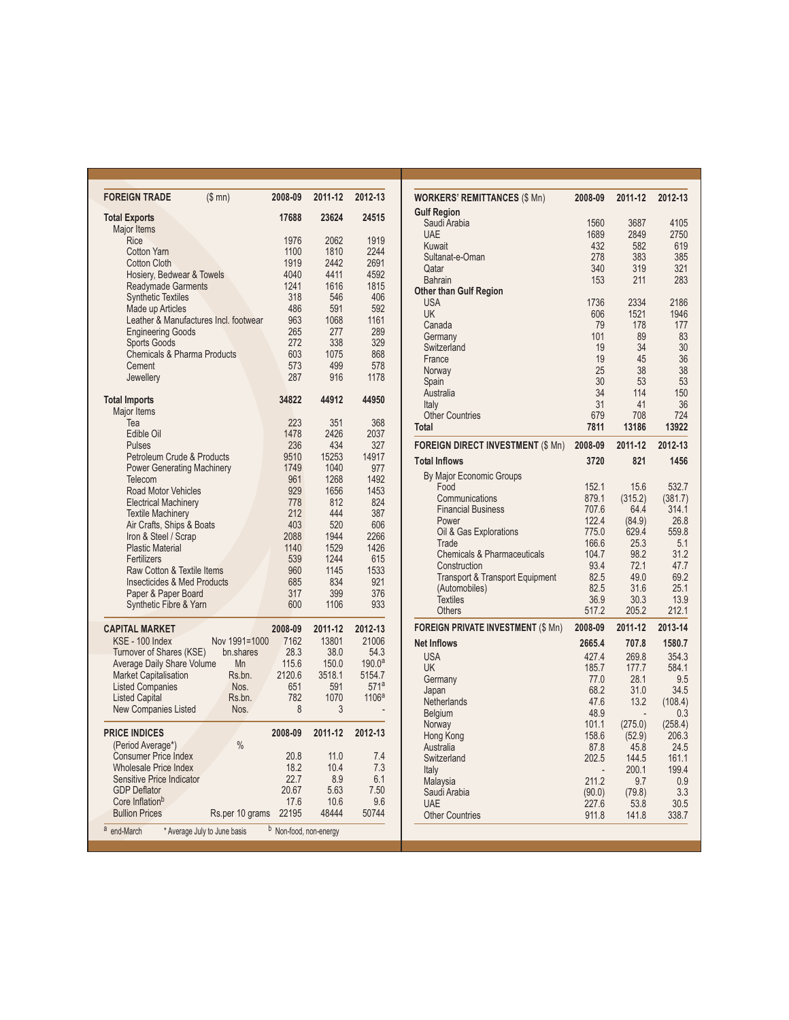| <b>FOREIGN TRADE</b>                             | (\$m <sub>0</sub> )                   | 2008-09                   | 2011-12      | 2012-13            |
|--------------------------------------------------|---------------------------------------|---------------------------|--------------|--------------------|
| <b>Total Exports</b>                             |                                       | 17688                     | 23624        | 24515              |
| <b>Major Items</b>                               |                                       |                           |              |                    |
| Rice<br><b>Cotton Yarn</b>                       |                                       | 1976<br>1100              | 2062<br>1810 | 1919<br>2244       |
| <b>Cotton Cloth</b>                              |                                       | 1919                      | 2442         | 2691               |
| Hosiery, Bedwear & Towels                        |                                       | 4040                      | 4411         | 4592               |
| <b>Readymade Garments</b>                        |                                       | 1241                      | 1616         | 1815               |
| <b>Synthetic Textiles</b>                        |                                       | 318                       | 546          | 406                |
| Made up Articles                                 |                                       | 486                       | 591          | 592                |
|                                                  | Leather & Manufactures Incl. footwear | 963                       | 1068         | 1161               |
| <b>Engineering Goods</b>                         |                                       | 265                       | 277          | 289                |
| <b>Sports Goods</b>                              |                                       | 272                       | 338          | 329                |
| <b>Chemicals &amp; Pharma Products</b>           |                                       | 603                       | 1075         | 868                |
| Cement                                           |                                       | 573                       | 499          | 578                |
| Jewellery                                        |                                       | 287                       | 916          | 1178               |
| <b>Total Imports</b><br>Major Items              |                                       | 34822                     | 44912        | 44950              |
| Теа                                              |                                       | 223                       | 351          | 368                |
| Edible Oil                                       |                                       | 1478                      | 2426         | 2037               |
| <b>Pulses</b>                                    |                                       | 236                       | 434          | 327                |
| Petroleum Crude & Products                       |                                       | 9510                      | 15253        | 14917              |
| <b>Power Generating Machinery</b>                |                                       | 1749                      | 1040         | 977                |
| Telecom                                          |                                       | 961                       | 1268         | 1492               |
| <b>Road Motor Vehicles</b>                       |                                       | 929                       | 1656         | 1453               |
| <b>Electrical Machinery</b>                      |                                       | 778                       | 812          | 824                |
| <b>Textile Machinery</b>                         |                                       | 212                       | 444          | 387                |
| Air Crafts, Ships & Boats                        |                                       | 403                       | 520          | 606                |
| Iron & Steel / Scrap<br><b>Plastic Material</b>  |                                       | 2088<br>1140              | 1944<br>1529 | 2266<br>1426       |
| Fertilizers                                      |                                       | 539                       | 1244         | 615                |
| Raw Cotton & Textile Items                       |                                       | 960                       | 1145         | 1533               |
| <b>Insecticides &amp; Med Products</b>           |                                       | 685                       | 834          | 921                |
| Paper & Paper Board                              |                                       | 317                       | 399          | 376                |
| Synthetic Fibre & Yarn                           |                                       | 600                       | 1106         | 933                |
| <b>CAPITAL MARKET</b>                            |                                       | 2008-09                   | 2011-12      | 2012-13            |
| KSE - 100 Index                                  | Nov 1991=1000                         | 7162                      | 13801        | 21006              |
| Turnover of Shares (KSE)                         | bn.shares                             | 28.3                      | 38.0         | 54.3               |
| Average Daily Share Volume                       | Mn                                    | 115.6                     | 150.0        | 190.0 <sup>a</sup> |
| <b>Market Capitalisation</b>                     | Rs.bn.                                | 2120.6                    | 3518.1       | 5154.7             |
| <b>Listed Companies</b>                          | Nos.                                  | 651                       | 591          | 571a               |
| <b>Listed Capital</b>                            | Rs.bn.                                | 782                       | 1070         | 1106 <sup>a</sup>  |
| New Companies Listed                             | Nos.                                  | 8                         | 3            |                    |
| <b>PRICE INDICES</b>                             |                                       | 2008-09                   | 2011-12      | 2012-13            |
| (Period Average*)                                | $\frac{0}{0}$                         |                           |              |                    |
| <b>Consumer Price Index</b>                      |                                       | 20.8                      | 11.0         | 7.4                |
| <b>Wholesale Price Index</b>                     |                                       | 18.2                      | 10.4         | 7.3                |
| Sensitive Price Indicator<br><b>GDP Deflator</b> |                                       | 22.7<br>20.67             | 8.9<br>5.63  | 6.1<br>7.50        |
| Core Inflation <sup>b</sup>                      |                                       | 17.6                      | 10.6         | 9.6                |
| <b>Bullion Prices</b>                            | Rs.per 10 grams                       | 22195                     | 48444        | 50744              |
| a<br>end-March                                   | * Average July to June basis          | b<br>Non-food, non-energy |              |                    |

| <b>WORKERS' REMITTANCES (\$ Mn)</b>        | 2008-09   | 2011-12     | 2012-13     |
|--------------------------------------------|-----------|-------------|-------------|
| <b>Gulf Region</b>                         |           |             |             |
| Saudi Arabia                               | 1560      | 3687        | 4105        |
| <b>UAE</b>                                 | 1689      | 2849        | 2750        |
| Kuwait                                     | 432       | 582         | 619         |
| Sultanat-e-Oman                            | 278       | 383         | 385         |
| Qatar                                      | 340       | 319         | 321         |
| <b>Bahrain</b>                             | 153       | 211         | 283         |
| <b>Other than Gulf Region</b>              |           |             |             |
| <b>USA</b>                                 | 1736      | 2334        | 2186        |
| UK                                         | 606       | 1521<br>178 | 1946<br>177 |
| Canada                                     | 79<br>101 | 89          | 83          |
| Germany                                    | 19        | 34          | 30          |
| Switzerland                                |           | 45          |             |
| France<br>Norway                           | 19<br>25  | 38          | 36<br>38    |
|                                            | 30        | 53          | 53          |
| Spain<br>Australia                         | 34        | 114         | 150         |
| Italy                                      | 31        | 41          | 36          |
| <b>Other Countries</b>                     | 679       | 708         | 724         |
| <b>Total</b>                               | 7811      | 13186       | 13922       |
|                                            |           |             |             |
| <b>FOREIGN DIRECT INVESTMENT (\$ Mn)</b>   | 2008-09   | 2011-12     | 2012-13     |
| <b>Total Inflows</b>                       | 3720      | 821         | 1456        |
| By Major Economic Groups                   |           |             |             |
| Food                                       | 152.1     | 15.6        | 532.7       |
| Communications                             | 879.1     | (315.2)     | (381.7)     |
| <b>Financial Business</b>                  | 707.6     | 64.4        | 314.1       |
| Power                                      | 122.4     | (84.9)      | 26.8        |
| Oil & Gas Explorations                     | 775.0     | 629.4       | 559.8       |
| Trade                                      | 166.6     | 25.3        | 5.1         |
| <b>Chemicals &amp; Pharmaceuticals</b>     | 104.7     | 98.2        | 31.2        |
| Construction                               | 93.4      | 72.1        | 47.7        |
| <b>Transport &amp; Transport Equipment</b> | 82.5      | 49.0        | 69.2        |
| (Automobiles)                              | 82.5      | 31.6        | 25.1        |
| <b>Textiles</b>                            | 36.9      | 30.3        | 13.9        |
| <b>Others</b>                              | 517.2     | 205.2       | 212.1       |
| <b>FOREIGN PRIVATE INVESTMENT (\$ Mn)</b>  | 2008-09   | 2011-12     | 2013-14     |
| <b>Net Inflows</b>                         | 2665.4    | 707.8       | 1580.7      |
| <b>USA</b>                                 | 427.4     | 269.8       | 354.3       |
| <b>UK</b>                                  | 185.7     | 177.7       | 584.1       |
| Germany                                    | 77.0      | 28.1        | 9.5         |
| Japan                                      | 68.2      | 31.0        | 34.5        |
| Netherlands                                | 47.6      | 13.2        | (108.4)     |
| <b>Belgium</b>                             | 48.9      |             | 0.3         |
| Norway                                     | 101.1     | (275.0)     | (258.4)     |
| Hong Kong                                  | 158.6     | (52.9)      | 206.3       |
| Australia                                  | 87.8      | 45.8        | 24.5        |
| Switzerland                                | 202.5     | 144.5       | 161.1       |
| Italy                                      |           | 200.1       | 199.4       |
| Malaysia                                   | 211.2     | 9.7         | 0.9         |
| Saudi Arabia                               | (90.0)    | (79.8)      | 3.3         |
| <b>UAE</b>                                 | 227.6     | 53.8        | 30.5        |
| <b>Other Countries</b>                     | 911.8     | 141.8       | 338.7       |
|                                            |           |             |             |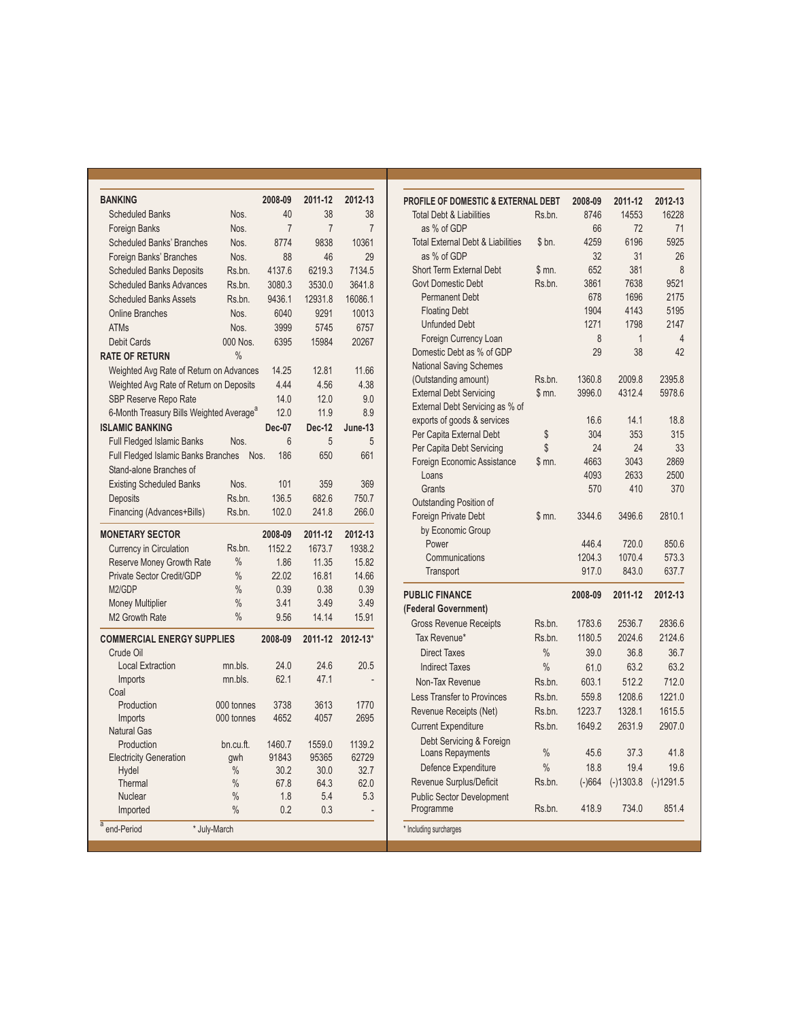| <b>BANKING</b>                                       |               | 2008-09        | 2011-12        | 2012-13        |
|------------------------------------------------------|---------------|----------------|----------------|----------------|
| <b>Scheduled Banks</b>                               | Nos.          | 40             | 38             | 38             |
| <b>Foreign Banks</b>                                 | Nos.          | $\overline{7}$ | $\overline{7}$ | $\overline{7}$ |
| <b>Scheduled Banks' Branches</b>                     | Nos.          | 8774           | 9838           | 10361          |
| Foreign Banks' Branches                              | Nos.          | 88             | 46             | 29             |
| <b>Scheduled Banks Deposits</b>                      | Rs.bn.        | 4137.6         | 6219.3         | 7134.5         |
| <b>Scheduled Banks Advances</b>                      | Rs.bn.        | 3080.3         | 3530.0         | 3641.8         |
| <b>Scheduled Banks Assets</b>                        | Rs.bn.        | 9436.1         | 12931.8        | 16086.1        |
| <b>Online Branches</b>                               | Nos.          | 6040           | 9291           | 10013          |
| <b>ATMs</b>                                          | Nos.          | 3999           | 5745           | 6757           |
| <b>Debit Cards</b>                                   | 000 Nos.      | 6395           | 15984          | 20267          |
| <b>RATE OF RETURN</b>                                | $\frac{0}{0}$ |                |                |                |
| Weighted Avg Rate of Return on Advances              |               | 14.25          | 12.81          | 11.66          |
| Weighted Avg Rate of Return on Deposits              |               | 4.44           | 4.56           | 4.38           |
| SBP Reserve Repo Rate                                |               | 14.0           | 12.0           | 9.0            |
| 6-Month Treasury Bills Weighted Average <sup>a</sup> |               | 12.0           | 11.9           | 8.9            |
| <b>ISLAMIC BANKING</b>                               |               | Dec-07         | <b>Dec-12</b>  | June-13        |
| <b>Full Fledged Islamic Banks</b>                    | Nos.          | 6              | 5              | 5              |
| Full Fledged Islamic Banks Branches                  | Nos.          | 186            | 650            | 661            |
| Stand-alone Branches of                              |               |                |                |                |
| <b>Existing Scheduled Banks</b>                      | Nos.          | 101            | 359            | 369            |
| <b>Deposits</b>                                      | Rs.bn.        | 136.5          | 682.6          | 750.7          |
|                                                      | Rs.bn.        | 102.0          | 241.8          | 266.0          |
| Financing (Advances+Bills)                           |               |                |                |                |
| <b>MONETARY SECTOR</b>                               |               | 2008-09        | 2011-12        | 2012-13        |
| Currency in Circulation                              | Rs.bn.        | 1152.2         | 1673.7         | 1938.2         |
| Reserve Money Growth Rate                            | $\frac{0}{0}$ | 1.86           | 11.35          | 15.82          |
| Private Sector Credit/GDP                            | $\frac{0}{0}$ | 22.02          | 16.81          | 14.66          |
| M <sub>2</sub> /GDP                                  | $\frac{0}{0}$ | 0.39           | 0.38           | 0.39           |
| <b>Money Multiplier</b>                              | $\frac{0}{0}$ | 3.41           | 3.49           | 3.49           |
| M <sub>2</sub> Growth Rate                           | $\frac{0}{0}$ | 9.56           | 14.14          | 15.91          |
| <b>COMMERCIAL ENERGY SUPPLIES</b>                    |               | 2008-09        | 2011-12        | 2012-13*       |
| Crude Oil                                            |               |                |                |                |
| <b>Local Extraction</b>                              | mn.bls.       | 24.0           | 24.6           | 20.5           |
| Imports                                              | mn.bls.       | 62.1           | 47.1           |                |
| Coal                                                 |               |                |                |                |
| Production                                           | 000 tonnes    | 3738           | 3613           | 1770           |
| Imports                                              | 000 tonnes    | 4652           | 4057           | 2695           |
| <b>Natural Gas</b>                                   |               |                |                |                |
| Production                                           | bn.cu.ft.     | 1460.7         | 1559.0         | 1139.2         |
| <b>Electricity Generation</b>                        | qwh           | 91843          | 95365          | 62729          |
| Hydel                                                | $\frac{0}{0}$ | 30.2           | 30.0           | 32.7           |
| Thermal                                              | $\%$          | 67.8           | 64.3           | 62.0           |
| <b>Nuclear</b>                                       | $\frac{0}{0}$ | 1.8            | 5.4            | 5.3            |
| Imported                                             | $\frac{0}{0}$ | 0.2            | 0.3            |                |
| a end-Period                                         | * July-March  |                |                |                |

| PROFILE OF DOMESTIC & EXTERNAL DEBT              |               | 2008-09  | 2011-12      | 2012-13        |
|--------------------------------------------------|---------------|----------|--------------|----------------|
| <b>Total Debt &amp; Liabilities</b>              | Rs.bn.        | 8746     | 14553        | 16228          |
| as % of GDP                                      |               | 66       | 72           | 71             |
| <b>Total External Debt &amp; Liabilities</b>     | \$bn.         | 4259     | 6196         | 5925           |
| as % of GDP                                      |               | 32       | 31           | 26             |
| <b>Short Term External Debt</b>                  | \$m.          | 652      | 381          | 8              |
| <b>Govt Domestic Debt</b>                        | Rs.bn.        | 3861     | 7638         | 9521           |
| <b>Permanent Debt</b>                            |               | 678      | 1696         | 2175           |
| <b>Floating Debt</b>                             |               | 1904     | 4143         | 5195           |
| <b>Unfunded Debt</b>                             |               | 1271     | 1798         | 2147           |
| Foreign Currency Loan                            |               | 8        | $\mathbf{1}$ | $\overline{4}$ |
| Domestic Debt as % of GDP                        |               | 29       | 38           | 42             |
| <b>National Saving Schemes</b>                   |               |          |              |                |
| (Outstanding amount)                             | Rs.bn.        | 1360.8   | 2009.8       | 2395.8         |
| <b>External Debt Servicing</b>                   | \$mn.         | 3996.0   | 4312.4       | 5978.6         |
| External Debt Servicing as % of                  |               |          |              |                |
| exports of goods & services                      |               | 16.6     | 14.1         | 18.8           |
| Per Capita External Debt                         | \$            | 304      | 353          | 315            |
| Per Capita Debt Servicing                        | \$            | 24       | 24           | 33             |
| Foreign Economic Assistance                      | \$ mn.        | 4663     | 3043         | 2869           |
| Loans                                            |               | 4093     | 2633         | 2500           |
| Grants                                           |               | 570      | 410          | 370            |
| Outstanding Position of                          |               | 3344.6   | 3496.6       | 2810.1         |
| <b>Foreign Private Debt</b><br>by Economic Group | \$ mn.        |          |              |                |
| Power                                            |               | 446.4    | 720.0        | 850.6          |
| Communications                                   |               | 1204.3   | 1070.4       | 573.3          |
| Transport                                        |               | 917.0    | 843.0        | 637.7          |
|                                                  |               |          |              |                |
| <b>PUBLIC FINANCE</b>                            |               | 2008-09  | 2011-12      | 2012-13        |
| (Federal Government)                             |               |          |              |                |
| <b>Gross Revenue Receipts</b>                    | Rs.bn.        | 1783.6   | 2536.7       | 2836.6         |
| Tax Revenue*                                     | Rs.bn.        | 1180.5   | 2024.6       | 2124.6         |
| <b>Direct Taxes</b>                              | $\frac{0}{0}$ | 39.0     | 36.8         | 36.7           |
| <b>Indirect Taxes</b>                            | $\frac{0}{0}$ | 61.0     | 63.2         | 63.2           |
| Non-Tax Revenue                                  | Rs.bn.        | 603.1    | 512.2        | 712.0          |
| <b>Less Transfer to Provinces</b>                | Rs.bn.        | 559.8    | 1208.6       | 1221.0         |
| Revenue Receipts (Net)                           | Rs.bn.        | 1223.7   | 1328.1       | 1615.5         |
| <b>Current Expenditure</b>                       | Rs.bn.        | 1649.2   | 2631.9       | 2907.0         |
| Debt Servicing & Foreign                         |               |          |              |                |
| Loans Repayments                                 | $\frac{0}{0}$ | 45.6     | 37.3         | 41.8           |
| Defence Expenditure                              | $\frac{0}{0}$ | 18.8     | 19.4         | 19.6           |
| Revenue Surplus/Deficit                          | Rs.bn.        | $(-)664$ | $(-)1303.8$  | $(-)1291.5$    |
| <b>Public Sector Development</b><br>Programme    | Rs.bn.        | 418.9    | 734.0        | 851.4          |
| * Including surcharges                           |               |          |              |                |